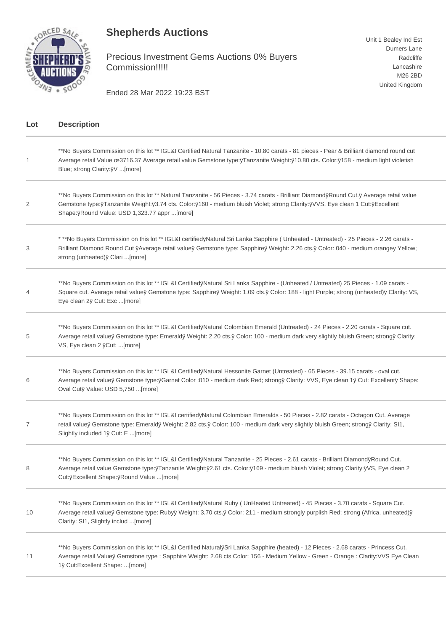## **Shepherds Auctions**



Precious Investment Gems Auctions 0% Buyers Commission!!!!!

Unit 1 Bealey Ind Est Dumers Lane Radcliffe Lancashire M26 2BD United Kingdom

Ended 28 Mar 2022 19:23 BST

| Lot | <b>Description</b>                                                                                                                                                                                                                                                                                                             |
|-----|--------------------------------------------------------------------------------------------------------------------------------------------------------------------------------------------------------------------------------------------------------------------------------------------------------------------------------|
| 1   | **No Buyers Commission on this lot ** IGL&I Certified Natural Tanzanite - 10.80 carats - 81 pieces - Pear & Brilliant diamond round cut<br>Average retail Value œ3716.37 Average retail value Gemstone type: yTanzanite Weight: y10.80 cts. Color: y158 - medium light violetish<br>Blue; strong Clarity: yV  [more]           |
| 2   | **No Buyers Commission on this lot ** Natural Tanzanite - 56 Pieces - 3.74 carats - Brilliant DiamondÿRound Cut.ÿ Average retail value<br>Gemstone type: yTanzanite Weight: y3.74 cts. Color: y160 - medium bluish Violet; strong Clarity: yVVS, Eye clean 1 Cut: yExcellent<br>Shape: yRound Value: USD 1,323.77 appr  [more] |
| 3   | * **No Buyers Commission on this lot ** IGL&I certifiedÿNatural Sri Lanka Sapphire (Unheated - Untreated) - 25 Pieces - 2.26 carats -<br>Brilliant Diamond Round Cut ÿAverage retail valueÿ Gemstone type: Sapphireÿ Weight: 2.26 cts.ÿ Color: 040 - medium orangey Yellow;<br>strong (unheated) y Clari [more]                |
| 4   | **No Buyers Commission on this lot ** IGL&I CertifiedÿNatural Sri Lanka Sapphire - (Unheated / Untreated) 25 Pieces - 1.09 carats -<br>Square cut. Average retail valuey Gemstone type: Sapphirey Weight: 1.09 cts.y Color: 188 - light Purple; strong (unheated)y Clarity: VS,<br>Eye clean 2ÿ Cut: Exc [more]                |
| 5   | **No Buyers Commission on this lot ** IGL&I CertifiedÿNatural Colombian Emerald (Untreated) - 24 Pieces - 2.20 carats - Square cut.<br>Average retail valueÿ Gemstone type: Emeraldÿ Weight: 2.20 cts.ÿ Color: 100 - medium dark very slightly bluish Green; strongÿ Clarity:<br>VS, Eye clean 2 yCut: [more]                  |
| 6   | **No Buyers Commission on this lot ** IGL&I CertifiedÿNatural Hessonite Garnet (Untreated) - 65 Pieces - 39.15 carats - oval cut.<br>Average retail valueÿ Gemstone type:ÿGarnet Color :010 - medium dark Red; strongÿ Clarity: VVS, Eye clean 1ÿ Cut: Excellentÿ Shape:<br>Oval Cutÿ Value: USD 5,750 [more]                  |
| 7   | **No Buyers Commission on this lot ** IGL&I certifiedyNatural Colombian Emeralds - 50 Pieces - 2.82 carats - Octagon Cut. Average<br>retail valueÿ Gemstone type: Emeraldÿ Weight: 2.82 cts.ÿ Color: 100 - medium dark very slightly bluish Green; strongÿ Clarity: SI1,<br>Slightly included 1y Cut: E  [more]                |
| 8   | **No Buyers Commission on this lot ** IGL&I CertifiedÿNatural Tanzanite - 25 Pieces - 2.61 carats - Brilliant DiamondÿRound Cut.<br>Average retail value Gemstone type: yTanzanite Weight: y2.61 cts. Color: y169 - medium bluish Violet; strong Clarity: yVS, Eye clean 2<br>Cut: ÿExcellent Shape: ÿRound Value  [more]      |
| 10  | **No Buyers Commission on this lot ** IGL&I CertifiedÿNatural Ruby (UnHeated Untreated) - 45 Pieces - 3.70 carats - Square Cut.<br>Average retail valueÿ Gemstone type: Rubyÿ Weight: 3.70 cts.ÿ Color: 211 - medium strongly purplish Red; strong (Africa, unheated)ÿ<br>Clarity: SI1, Slightly includ [more]                 |
| 11  | **No Buyers Commission on this lot ** IGL&I Certified NaturalÿSri Lanka Sapphire (heated) - 12 Pieces - 2.68 carats - Princess Cut.<br>Average retail Valueÿ Gemstone type : Sapphire Weight: 2.68 cts Color: 156 - Medium Yellow - Green - Orange : Clarity: VVS Eye Clean<br>1ÿ Cut:Excellent Shape: [more]                  |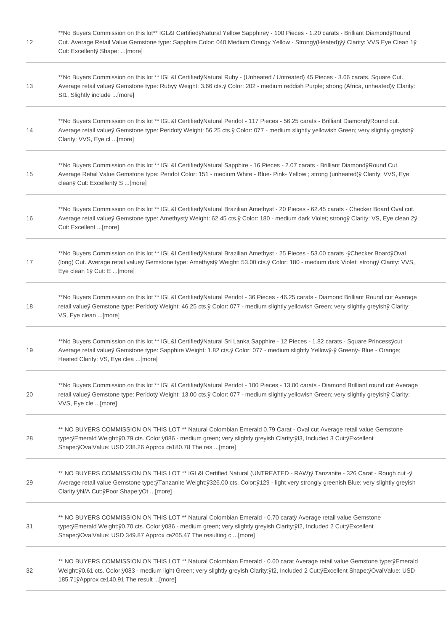| 12 | **No Buyers Commission on this lot** IGL&I CertifiedÿNatural Yellow Sapphireÿ - 100 Pieces - 1.20 carats - Brilliant DiamondÿRound<br>Cut. Average Retail Value Gemstone type: Sapphire Color: 040 Medium Orangy Yellow - Strongÿ(Heated)ÿÿ Clarity: VVS Eye Clean 1ÿ<br>Cut: Excellentÿ Shape: [more]                 |
|----|------------------------------------------------------------------------------------------------------------------------------------------------------------------------------------------------------------------------------------------------------------------------------------------------------------------------|
| 13 | **No Buyers Commission on this lot ** IGL&I CertifiedÿNatural Ruby - (Unheated / Untreated) 45 Pieces - 3.66 carats. Square Cut.<br>Average retail valueÿ Gemstone type: Rubyÿ Weight: 3.66 cts.ÿ Color: 202 - medium reddish Purple; strong (Africa, unheated)ÿ Clarity:<br>SI1, Slightly include [more]              |
| 14 | **No Buyers Commission on this lot ** IGL&I CertifiedÿNatural Peridot - 117 Pieces - 56.25 carats - Brilliant DiamondÿRound cut.<br>Average retail valueÿ Gemstone type: Peridotÿ Weight: 56.25 cts.ÿ Color: 077 - medium slightly yellowish Green; very slightly greyishÿ<br>Clarity: VVS, Eye cl [more]              |
| 15 | **No Buyers Commission on this lot ** IGL&I CertifiedÿNatural Sapphire - 16 Pieces - 2.07 carats - Brilliant DiamondÿRound Cut.<br>Average Retail Value Gemstone type: Peridot Color: 151 - medium White - Blue- Pink- Yellow; strong (unheated)ÿ Clarity: VVS, Eye<br>cleanÿ Cut: Excellentÿ S [more]                 |
| 16 | **No Buyers Commission on this lot ** IGL&I CertifiedÿNatural Brazilian Amethyst - 20 Pieces - 62.45 carats - Checker Board Oval cut.<br>Average retail valueÿ Gemstone type: Amethystÿ Weight: 62.45 cts.ÿ Color: 180 - medium dark Violet; strongÿ Clarity: VS, Eye clean 2ÿ<br>Cut: Excellent [more]                |
| 17 | **No Buyers Commission on this lot ** IGL&I CertifiedÿNatural Brazilian Amethyst - 25 Pieces - 53.00 carats -ÿChecker BoardÿOval<br>(long) Cut. Average retail valueÿ Gemstone type: Amethystÿ Weight: 53.00 cts.ÿ Color: 180 - medium dark Violet; strongÿ Clarity: VVS,<br>Eye clean 1ÿ Cut: E [more]                |
| 18 | **No Buyers Commission on this lot ** IGL&I CertifiedÿNatural Peridot - 36 Pieces - 46.25 carats - Diamond Brilliant Round cut Average<br>retail valuey Gemstone type: Peridoty Weight: 46.25 cts.y Color: 077 - medium slightly yellowish Green; very slightly greyishy Clarity:<br>VS, Eye clean [more]              |
| 19 | **No Buyers Commission on this lot ** IGL&I CertifiedÿNatural Sri Lanka Sapphire - 12 Pieces - 1.82 carats - Square Princessÿcut<br>Average retail valueÿ Gemstone type: Sapphire Weight: 1.82 cts.ÿ Color: 077 - medium slightly Yellowÿ-ÿ Greenÿ- Blue - Orange;<br>Heated Clarity: VS, Eye clea [more]              |
| 20 | **No Buyers Commission on this lot ** IGL&I CertifiedÿNatural Peridot - 100 Pieces - 13.00 carats - Diamond Brilliant round cut Average<br>retail valuey Gemstone type: Peridoty Weight: 13.00 cts.y Color: 077 - medium slightly yellowish Green; very slightly greyishy Clarity:<br>VVS, Eye cle [more]              |
| 28 | ** NO BUYERS COMMISSION ON THIS LOT ** Natural Colombian Emerald 0.79 Carat - Oval cut Average retail value Gemstone<br>type: yEmerald Weight: yo.79 cts. Color: yo86 - medium green; very slightly greyish Clarity: yl3, Included 3 Cut: yExcellent<br>Shape: yOvalValue: USD 238.26 Approx ce 180.78 The res  [more] |
| 29 | ** NO BUYERS COMMISSION ON THIS LOT ** IGL&I Certified Natural (UNTREATED - RAW)ÿ Tanzanite - 326 Carat - Rough cut -ÿ<br>Average retail value Gemstone type: yTanzanite Weight: y326.00 cts. Color: y129 - light very strongly greenish Blue; very slightly greyish<br>Clarity: yN/A Cut: yPoor Shape: yOt  [more]    |
| 31 | ** NO BUYERS COMMISSION ON THIS LOT ** Natural Colombian Emerald - 0.70 caratÿ Average retail value Gemstone<br>type: yEmerald Weight: yo.70 cts. Color: yo86 - medium green; very slightly greyish Clarity: yl2, Included 2 Cut: yExcellent<br>Shape: yOvalValue: USD 349.87 Approx ce 265.47 The resulting c  [more] |
| 32 | ** NO BUYERS COMMISSION ON THIS LOT ** Natural Colombian Emerald - 0.60 carat Average retail value Gemstone type: yEmerald<br>Weight:ÿ0.61 cts. Color:ÿ083 - medium light Green; very slightly greyish Clarity:ÿl2, Included 2 Cut:ÿExcellent Shape:ÿOvalValue: USD<br>185.71ÿApprox œ140.91 The result [more]         |